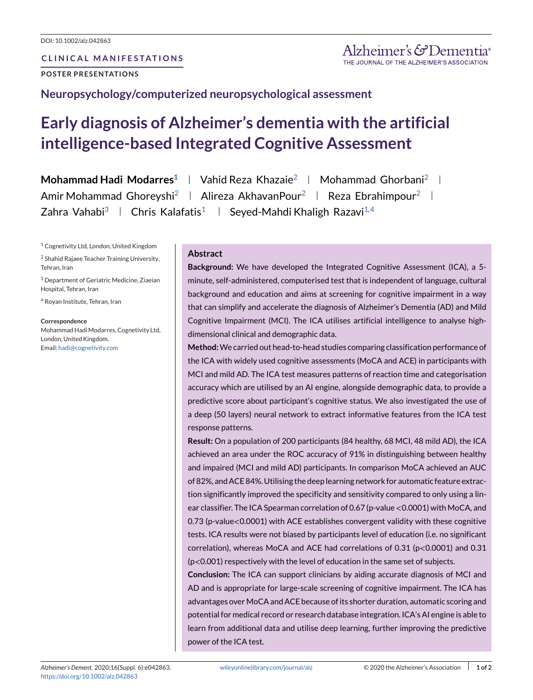## **CLINICAL MANIFESTATIONS**

**POSTER PRESENTATIONS**

**Neuropsychology/computerized neuropsychological assessment**

## **Early diagnosis of Alzheimer's dementia with the artificial intelligence-based Integrated Cognitive Assessment**

**Mohammad Hadi Modarres**<sup>1</sup> | Vahid Reza Khazaie<sup>2</sup> | Mohammad Ghorbani<sup>2</sup> | Amir Mohammad Ghoreyshi<sup>2</sup> | Alireza AkhavanPour<sup>2</sup> | Reza Ebrahimpour<sup>2</sup> | Zahra Vahabi<sup>3</sup> | Chris Kalafatis<sup>1</sup> | Seyed-Mahdi Khaligh Razavi<sup>1,4</sup>

<sup>1</sup> Cognetivity Ltd, London, United Kingdom

<sup>2</sup> Shahid Rajaee Teacher Training University, Tehran, Iran

<sup>3</sup> Department of Geriatric Medicine, Ziaeian Hospital, Tehran, Iran

<sup>4</sup> Royan Institute, Tehran, Iran

**Correspondence**

Mohammad Hadi Modarres, Cognetivity Ltd, London, United Kingdom. Email: [hadi@cognetivity.com](mailto:hadi@cognetivity.com)

## **Abstract**

**Background:** We have developed the Integrated Cognitive Assessment (ICA), a 5 minute, self-administered, computerised test that is independent of language, cultural background and education and aims at screening for cognitive impairment in a way that can simplify and accelerate the diagnosis of Alzheimer's Dementia (AD) and Mild Cognitive Impairment (MCI). The ICA utilises artificial intelligence to analyse highdimensional clinical and demographic data.

**Method:**We carried out head-to-head studies comparing classification performance of the ICA with widely used cognitive assessments (MoCA and ACE) in participants with MCI and mild AD. The ICA test measures patterns of reaction time and categorisation accuracy which are utilised by an AI engine, alongside demographic data, to provide a predictive score about participant's cognitive status. We also investigated the use of a deep (50 layers) neural network to extract informative features from the ICA test response patterns.

**Result:** On a population of 200 participants (84 healthy, 68 MCI, 48 mild AD), the ICA achieved an area under the ROC accuracy of 91% in distinguishing between healthy and impaired (MCI and mild AD) participants. In comparison MoCA achieved an AUC of 82%, and ACE 84%. Utilising the deep learning network for automatic feature extraction significantly improved the specificity and sensitivity compared to only using a linear classifier. The ICA Spearman correlation of 0.67 (p-value <0.0001) with MoCA, and 0.73 (p-value<0.0001) with ACE establishes convergent validity with these cognitive tests. ICA results were not biased by participants level of education (i.e. no significant correlation), whereas MoCA and ACE had correlations of 0.31 (p<0.0001) and 0.31 (p<0.001) respectively with the level of education in the same set of subjects.

**Conclusion:** The ICA can support clinicians by aiding accurate diagnosis of MCI and AD and is appropriate for large-scale screening of cognitive impairment. The ICA has advantages over MoCA and ACE because of its shorter duration, automatic scoring and potential for medical record or research database integration. ICA's AI engine is able to learn from additional data and utilise deep learning, further improving the predictive power of the ICA test.